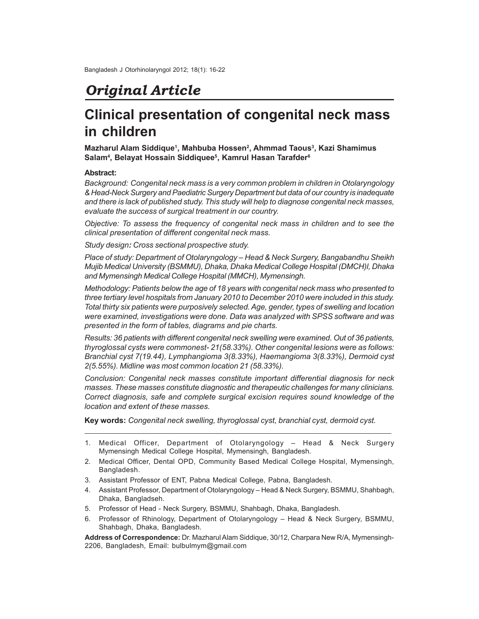# *Original Article*

# **Clinical presentation of congenital neck mass in children**

**Mazharul Alam Siddique<sup>1</sup> , Mahbuba Hossen<sup>2</sup> , Ahmmad Taous<sup>3</sup> , Kazi Shamimus Salam<sup>4</sup> , Belayat Hossain Siddiquee<sup>5</sup> , Kamrul Hasan Tarafder<sup>6</sup>**

## **Abstract:**

*Background: Congenital neck mass is a very common problem in children in Otolaryngology & Head-Neck Surgery and Paediatric Surgery Department but data of our country is inadequate and there is lack of published study. This study will help to diagnose congenital neck masses, evaluate the success of surgical treatment in our country.*

*Objective: To assess the frequency of congenital neck mass in children and to see the clinical presentation of different congenital neck mass.*

*Study design: Cross sectional prospective study.*

*Place of study: Department of Otolaryngology – Head & Neck Surgery, Bangabandhu Sheikh Mujib Medical University (BSMMU), Dhaka, Dhaka Medical College Hospital (DMCH)l, Dhaka and Mymensingh Medical College Hospital (MMCH), Mymensingh.*

*Methodology: Patients below the age of 18 years with congenital neck mass who presented to three tertiary level hospitals from January 2010 to December 2010 were included in this study. Total thirty six patients were purposively selected. Age, gender, types of swelling and location were examined, investigations were done. Data was analyzed with SPSS software and was presented in the form of tables, diagrams and pie charts.*

*Results: 36 patients with different congenital neck swelling were examined. Out of 36 patients, thyroglossal cysts were commonest- 21(58.33%). Other congenital lesions were as follows: Branchial cyst 7(19.44), Lymphangioma 3(8.33%), Haemangioma 3(8.33%), Dermoid cyst 2(5.55%). Midline was most common location 21 (58.33%).*

*Conclusion: Congenital neck masses constitute important differential diagnosis for neck masses. These masses constitute diagnostic and therapeutic challenges for many clinicians. Correct diagnosis, safe and complete surgical excision requires sound knowledge of the location and extent of these masses.*

**Key words:** *Congenital neck swelling, thyroglossal cyst, branchial cyst, dermoid cyst.*

- 1. Medical Officer, Department of Otolaryngology Head & Neck Surgery Mymensingh Medical College Hospital, Mymensingh, Bangladesh.
- 2. Medical Officer, Dental OPD, Community Based Medical College Hospital, Mymensingh, Bangladesh.
- 3. Assistant Professor of ENT, Pabna Medical College, Pabna, Bangladesh.
- 4. Assistant Professor, Department of Otolaryngology Head & Neck Surgery, BSMMU, Shahbagh, Dhaka, Bangladseh.
- 5. Professor of Head Neck Surgery, BSMMU, Shahbagh, Dhaka, Bangladesh.
- 6. Professor of Rhinology, Department of Otolaryngology Head & Neck Surgery, BSMMU, Shahbagh, Dhaka, Bangladesh.

**Address of Correspondence:** Dr. Mazharul Alam Siddique, 30/12, Charpara New R/A, Mymensingh-2206, Bangladesh, Email: bulbulmym@gmail.com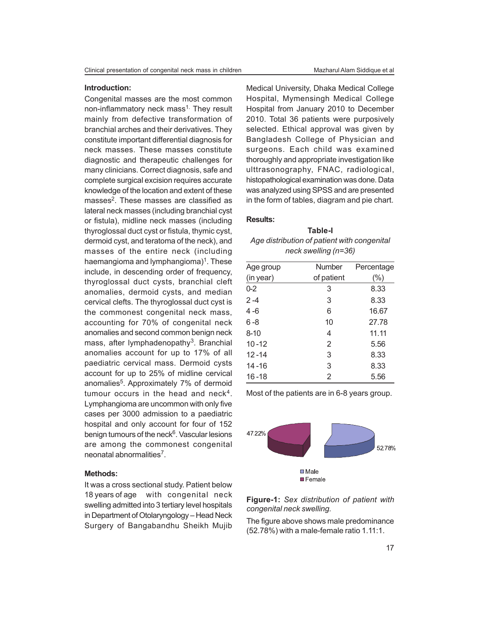#### **Introduction:**

Congenital masses are the most common non-inflammatory neck mass<sup>1.</sup> They result mainly from defective transformation of branchial arches and their derivatives. They constitute important differential diagnosis for neck masses. These masses constitute diagnostic and therapeutic challenges for many clinicians. Correct diagnosis, safe and complete surgical excision requires accurate knowledge of the location and extent of these masses<sup>2</sup>. These masses are classified as lateral neck masses (including branchial cyst or fistula), midline neck masses (including thyroglossal duct cyst or fistula, thymic cyst, dermoid cyst, and teratoma of the neck), and masses of the entire neck (including haemangioma and lymphangioma)<sup>1</sup>. These include, in descending order of frequency, thyroglossal duct cysts, branchial cleft anomalies, dermoid cysts, and median cervical clefts. The thyroglossal duct cyst is the commonest congenital neck mass, accounting for 70% of congenital neck anomalies and second common benign neck mass, after lymphadenopathy<sup>3</sup>. Branchial anomalies account for up to 17% of all paediatric cervical mass. Dermoid cysts account for up to 25% of midline cervical anomalies<sup>5</sup>. Approximately 7% of dermoid tumour occurs in the head and neck<sup>4</sup>. Lymphangioma are uncommon with only five cases per 3000 admission to a paediatric hospital and only account for four of 152 benign tumours of the neck<sup>6</sup>. Vascular lesions are among the commonest congenital neonatal abnormalities<sup>7</sup>.

#### **Methods:**

It was a cross sectional study. Patient below 18 years of age with congenital neck swelling admitted into 3 tertiary level hospitals in Department of Otolaryngology – Head Neck Surgery of Bangabandhu Sheikh Mujib Medical University, Dhaka Medical College Hospital, Mymensingh Medical College Hospital from January 2010 to December 2010. Total 36 patients were purposively selected. Ethical approval was given by Bangladesh College of Physician and surgeons. Each child was examined thoroughly and appropriate investigation like ulttrasonography, FNAC, radiological, histopathological examination was done. Data was analyzed using SPSS and are presented in the form of tables, diagram and pie chart.

### **Results:**

**Table-I** *Age distribution of patient with congenital neck swelling (n=36)*

| Age group | Number     | Percentage |
|-----------|------------|------------|
| (in year) | of patient | $(\%)$     |
| $0 - 2$   | 3          | 8.33       |
| $2 - 4$   | 3          | 8.33       |
| 4 - 6     | 6          | 16.67      |
| $6 - 8$   | 10         | 27.78      |
| $8 - 10$  | 4          | 11.11      |
| $10 - 12$ | 2          | 5.56       |
| $12 - 14$ | 3          | 8.33       |
| $14 - 16$ | 3          | 8.33       |
| $16 - 18$ | 2          | 5.56       |
|           |            |            |

Most of the patients are in 6-8 years group.



**Figure-1:** *Sex distribution of patient with congenital neck swelling.*

The figure above shows male predominance (52.78%) with a male-female ratio 1.11:1.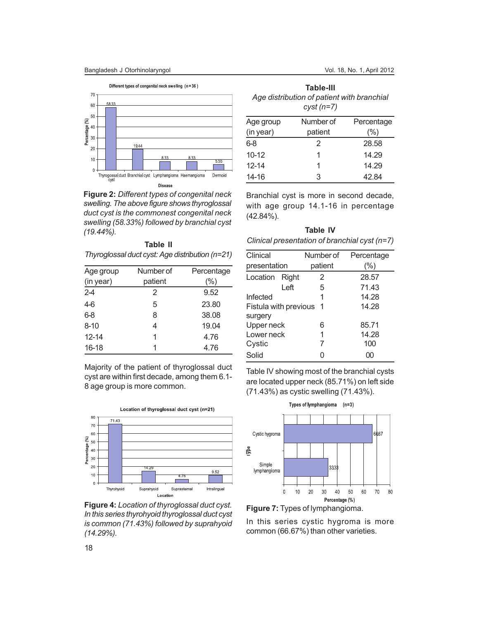

**Figure 2:** *Different types of congenital neck swelling. The above figure shows thyroglossal duct cyst is the commonest congenital neck swelling (58.33%) followed by branchial cyst (19.44%).*

| Table II                                        |  |
|-------------------------------------------------|--|
| Thyroglossal duct cyst: Age distribution (n=21) |  |

| Age group | Number of | Percentage |
|-----------|-----------|------------|
| (in year) | patient   | (%)        |
| $2 - 4$   | 2         | 9.52       |
| $4-6$     | 5         | 23.80      |
| $6 - 8$   | 8         | 38.08      |
| $8 - 10$  | 4         | 19.04      |
| $12 - 14$ | 1         | 4.76       |
| $16 - 18$ |           | 4.76       |

Majority of the patient of thyroglossal duct cyst are within first decade, among them 6.1- 8 age group is more common.



**Figure 4:***Location of thyroglossal duct cyst. In this series thyrohyoid thyroglossal duct cyst is common (71.43%) followed by suprahyoid (14.29%).*

| Table-III                                  |  |  |
|--------------------------------------------|--|--|
| Age distribution of patient with branchial |  |  |
| $cyst(n=7)$                                |  |  |

| Age group | Number of | Percentage |
|-----------|-----------|------------|
| (in year) | patient   | $(\%)$     |
| 6-8       | 2         | 28.58      |
| $10 - 12$ |           | 14.29      |
| $12 - 14$ |           | 14.29      |
| 14-16     | З         | 42.84      |

Branchial cyst is more in second decade, with age group 14.1-16 in percentage (42.84%).

| Table IV                                        |  |
|-------------------------------------------------|--|
| Clinical presentation of branchial cyst $(n=7)$ |  |

| Clinical              |       | Number of | Percentage |
|-----------------------|-------|-----------|------------|
| presentation          |       | patient   | $(\% )$    |
| Location              | Right | 2         | 28.57      |
|                       | Left  | 5         | 71.43      |
| Infected              |       | 1         | 14.28      |
| Fistula with previous |       | -1        | 14.28      |
| surgery               |       |           |            |
| Upper neck            |       | 6         | 85.71      |
| Lower neck            |       | 1         | 14.28      |
| Cystic                |       | 7         | 100        |
| Solid                 |       | ი         | 00         |

Table IV showing most of the branchial cysts are located upper neck (85.71%) on left side (71.43%) as cystic swelling (71.43%).



**Figure 7:** Types of lymphangioma.

In this series cystic hygroma is more common (66.67%) than other varieties.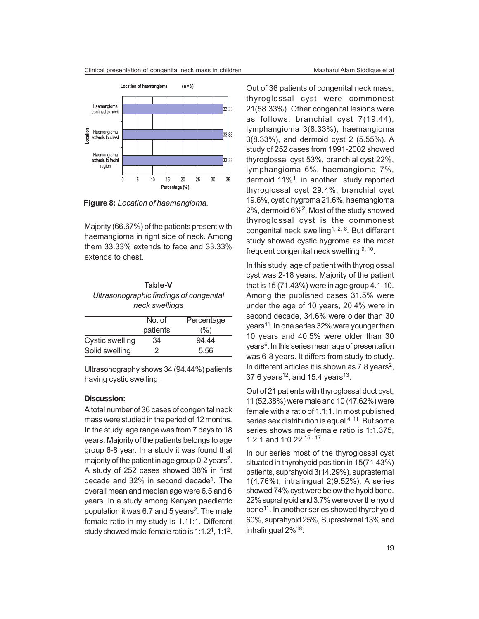

**Figure 8:** *Location of haemangioma.*

Majority (66.67%) of the patients present with haemangioma in right side of neck. Among them 33.33% extends to face and 33.33% extends to chest.

## **Table-V** *Ultrasonographic findings of congenital neck swellings*

|                 | No. of   | Percentage |
|-----------------|----------|------------|
|                 | patients | (%)        |
| Cystic swelling | 34       | 94.44      |
| Solid swelling  |          | 5.56       |

Ultrasonography shows 34 (94.44%) patients having cystic swelling.

#### **Discussion:**

A total number of 36 cases of congenital neck mass were studied in the period of 12 months. In the study, age range was from 7 days to 18 years. Majority of the patients belongs to age group 6-8 year. In a study it was found that majority of the patient in age group 0-2 years<sup>2</sup>. A study of 252 cases showed 38% in first decade and 32% in second decade<sup>1</sup>. The overall mean and median age were 6.5 and 6 years. In a study among Kenyan paediatric population it was 6.7 and 5 years<sup>2</sup>. The male female ratio in my study is 1.11:1. Different study showed male-female ratio is  $1:1.2<sup>1</sup>$ ,  $1:1<sup>2</sup>$ .

Out of 36 patients of congenital neck mass, thyroglossal cyst were commonest 21(58.33%). Other congenital lesions were as follows: branchial cyst 7(19.44), lymphangioma 3(8.33%), haemangioma 3(8.33%), and dermoid cyst 2 (5.55%). A study of 252 cases from 1991-2002 showed thyroglossal cyst 53%, branchial cyst 22%, lymphangioma 6%, haemangioma 7%, dermoid 11%<sup>1</sup>. in another study reported thyroglossal cyst 29.4%, branchial cyst 19.6%, cystic hygroma 21.6%, haemangioma 2%, dermoid 6%<sup>2</sup>. Most of the study showed thyroglossal cyst is the commonest congenital neck swelling<sup>1, 2, 8</sup>. But different study showed cystic hygroma as the most frequent congenital neck swelling <sup>9, 10</sup>.

In this study, age of patient with thyroglossal cyst was 2-18 years. Majority of the patient that is 15 (71.43%) were in age group 4.1-10. Among the published cases 31.5% were under the age of 10 years, 20.4% were in second decade, 34.6% were older than 30 years<sup>11</sup>. In one series 32% were younger than 10 years and 40.5% were older than 30 years<sup>6</sup>. In this series mean age of presentation was 6-8 years. It differs from study to study. In different articles it is shown as  $7.8$  years<sup>2</sup>, 37.6 years<sup>12</sup>, and 15.4 years<sup>13</sup>.

Out of 21 patients with thyroglossal duct cyst, 11 (52.38%) were male and 10 (47.62%) were female with a ratio of 1.1:1. In most published series sex distribution is equal <sup>4, 11</sup>. But some series shows male-female ratio is 1:1.375, 1.2:1 and 1:0.22 <sup>15 - 17</sup>.

In our series most of the thyroglossal cyst situated in thyrohyoid position in 15(71.43%) patients, suprahyoid 3(14.29%), suprasternal 1(4.76%), intralingual 2(9.52%). A series showed 74% cyst were below the hyoid bone. 22% suprahyoid and 3.7% were over the hyoid bone<sup>11</sup>. In another series showed thyrohyoid 60%, suprahyoid 25%, Suprasternal 13% and intralingual 2%<sup>18</sup>.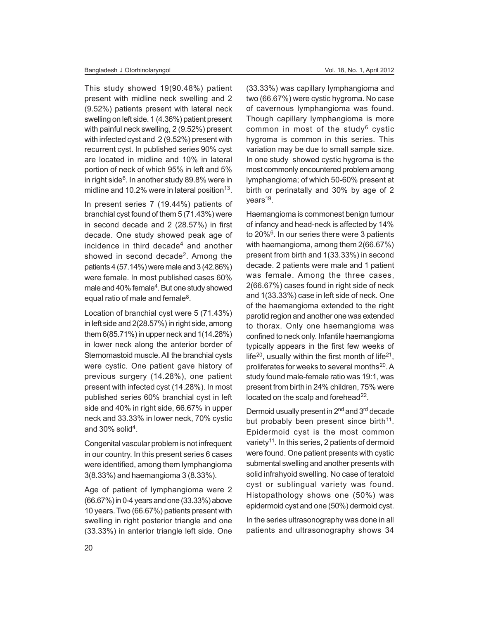This study showed 19(90.48%) patient present with midline neck swelling and 2 (9.52%) patients present with lateral neck swelling on left side. 1 (4.36%) patient present with painful neck swelling, 2 (9.52%) present with infected cyst and 2 (9.52%) present with recurrent cyst. In published series 90% cyst are located in midline and 10% in lateral portion of neck of which 95% in left and 5% in right side<sup>6</sup>. In another study 89.8% were in midline and 10.2% were in lateral position<sup>13</sup>.

In present series 7 (19.44%) patients of branchial cyst found of them 5 (71.43%) were in second decade and 2 (28.57%) in first decade. One study showed peak age of incidence in third decade<sup>4</sup> and another showed in second decade<sup>2</sup>. Among the patients 4 (57.14%) were male and 3 (42.86%) were female. In most published cases 60% male and 40% female<sup>4</sup>. But one study showed equal ratio of male and female<sup>8</sup>.

Location of branchial cyst were 5 (71.43%) in left side and 2(28.57%) in right side, among them 6(85.71%) in upper neck and 1(14.28%) in lower neck along the anterior border of Sternomastoid muscle. All the branchial cysts were cystic. One patient gave history of previous surgery (14.28%), one patient present with infected cyst (14.28%). In most published series 60% branchial cyst in left side and 40% in right side, 66.67% in upper neck and 33.33% in lower neck, 70% cystic and 30% solid<sup>4</sup>.

Congenital vascular problem is not infrequent in our country. In this present series 6 cases were identified, among them lymphangioma 3(8.33%) and haemangioma 3 (8.33%).

Age of patient of lymphangioma were 2 (66.67%) in 0-4 years and one (33.33%) above 10 years. Two (66.67%) patients present with swelling in right posterior triangle and one (33.33%) in anterior triangle left side. One

(33.33%) was capillary lymphangioma and two (66.67%) were cystic hygroma. No case of cavernous lymphangioma was found. Though capillary lymphangioma is more common in most of the study<sup>6</sup> cystic hygroma is common in this series. This variation may be due to small sample size. In one study showed cystic hygroma is the most commonly encountered problem among lymphangioma; of which 50-60% present at birth or perinatally and 30% by age of 2 years<sup>19</sup>.

Haemangioma is commonest benign tumour of infancy and head-neck is affected by 14% to 20%<sup>6</sup>. In our series there were 3 patients with haemangioma, among them 2(66.67%) present from birth and 1(33.33%) in second decade. 2 patients were male and 1 patient was female. Among the three cases, 2(66.67%) cases found in right side of neck and 1(33.33%) case in left side of neck. One of the haemangioma extended to the right parotid region and another one was extended to thorax. Only one haemangioma was confined to neck only. Infantile haemangioma typically appears in the first few weeks of life<sup>20</sup>, usually within the first month of life<sup>21</sup>, proliferates for weeks to several months<sup>20</sup>. A study found male-female ratio was 19:1, was present from birth in 24% children, 75% were located on the scalp and forehead<sup>22</sup>.

Dermoid usually present in 2nd and 3rd decade but probably been present since birth<sup>11</sup>. Epidermoid cyst is the most common variety<sup>11</sup>. In this series, 2 patients of dermoid were found. One patient presents with cystic submental swelling and another presents with solid infrahyoid swelling. No case of teratoid cyst or sublingual variety was found. Histopathology shows one (50%) was epidermoid cyst and one (50%) dermoid cyst.

In the series ultrasonography was done in all patients and ultrasonography shows 34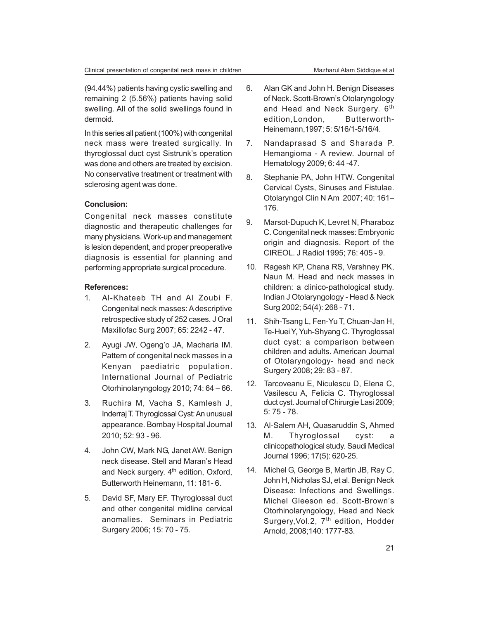(94.44%) patients having cystic swelling and remaining 2 (5.56%) patients having solid swelling. All of the solid swellings found in dermoid.

In this series all patient (100%) with congenital neck mass were treated surgically. In thyroglossal duct cyst Sistrunk's operation was done and others are treated by excision. No conservative treatment or treatment with sclerosing agent was done.

## **Conclusion:**

Congenital neck masses constitute diagnostic and therapeutic challenges for many physicians. Work-up and management is lesion dependent, and proper preoperative diagnosis is essential for planning and performing appropriate surgical procedure.

### **References:**

- 1. Al-Khateeb TH and Al Zoubi F. Congenital neck masses: A descriptive retrospective study of 252 cases. J Oral Maxillofac Surg 2007; 65: 2242 - 47.
- 2. Ayugi JW, Ogeng'o JA, Macharia IM. Pattern of congenital neck masses in a Kenyan paediatric population. International Journal of Pediatric Otorhinolaryngology 2010; 74: 64 – 66.
- 3. Ruchira M, Vacha S, Kamlesh J, Inderraj T. Thyroglossal Cyst: An unusual appearance. Bombay Hospital Journal 2010; 52: 93 - 96.
- 4. John CW, Mark NG, Janet AW. Benign neck disease. Stell and Maran's Head and Neck surgery. 4<sup>th</sup> edition, Oxford, Butterworth Heinemann, 11: 181- 6.
- 5. David SF, Mary EF. Thyroglossal duct and other congenital midline cervical anomalies. Seminars in Pediatric Surgery 2006; 15: 70 - 75.
- 6. Alan GK and John H. Benign Diseases of Neck. Scott-Brown's Otolaryngology and Head and Neck Surgery. 6<sup>th</sup> edition,London, Butterworth-Heinemann,1997; 5: 5/16/1-5/16/4.
- 7. Nandaprasad S and Sharada P. Hemangioma - A review. Journal of Hematology 2009; 6: 44 -47.
- 8. Stephanie PA, John HTW. Congenital Cervical Cysts, Sinuses and Fistulae. Otolaryngol Clin N Am 2007; 40: 161– 176.
- 9. Marsot-Dupuch K, Levret N, Pharaboz C. Congenital neck masses: Embryonic origin and diagnosis. Report of the CIREOL. J Radiol 1995; 76: 405 - 9.
- 10. Ragesh KP, Chana RS, Varshney PK, Naun M. Head and neck masses in children: a clinico-pathological study. Indian J Otolaryngology - Head & Neck Surg 2002; 54(4): 268 - 71.
- 11. Shih-Tsang L, Fen-Yu T, Chuan-Jan H, Te-Huei Y, Yuh-Shyang C. Thyroglossal duct cyst: a comparison between children and adults. American Journal of Otolaryngology- head and neck Surgery 2008; 29: 83 - 87.
- 12. Tarcoveanu E, Niculescu D, Elena C, Vasilescu A, Felicia C. Thyroglossal duct cyst. Journal of Chirurgie Lasi 2009; 5: 75 - 78.
- 13. Al-Salem AH, Quasaruddin S, Ahmed M. Thyroglossal cyst: a clinicopathological study. Saudi Medical Journal 1996; 17(5): 620-25.
- 14. Michel G, George B, Martin JB, Ray C, John H, Nicholas SJ, et al. Benign Neck Disease: Infections and Swellings. Michel Gleeson ed. Scott-Brown's Otorhinolaryngology, Head and Neck Surgery, Vol.2, 7<sup>th</sup> edition, Hodder Arnold, 2008;140: 1777-83.